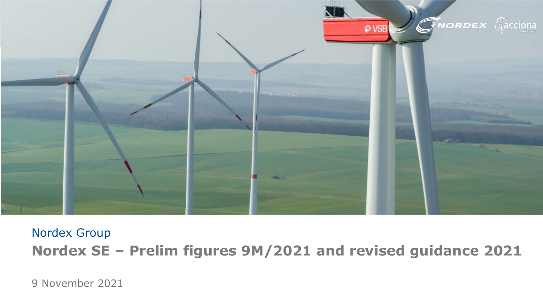

# Nordex Group **Nordex SE – Prelim figures 9M/2021 and revised guidance 2021**

9 November 2021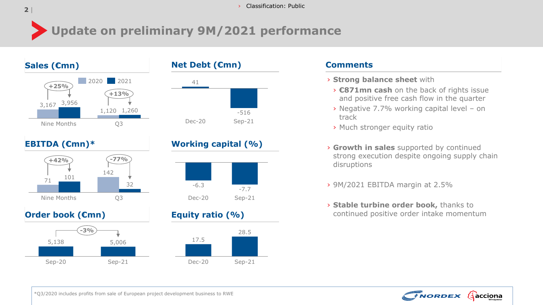# **Update on preliminary 9M/2021 performance**





# **EBITDA (€mn)\***



# **Order book (€mn)**







# **Equity ratio (%)**



### **Comments**

- › **Strong balance sheet** with
- › **€871mn cash** on the back of rights issue and positive free cash flow in the quarter
- › Negative 7.7% working capital level on track
- › Much stronger equity ratio
- › **Growth in sales** supported by continued strong execution despite ongoing supply chain disruptions
- › 9M/2021 EBITDA margin at 2.5%
- › **Stable turbine order book,** thanks to continued positive order intake momentum

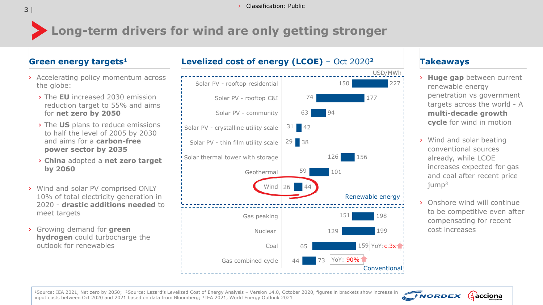# **Long-term drivers for wind are only getting stronger**

- › Accelerating policy momentum across the globe:
	- › The **EU** increased 2030 emission reduction target to 55% and aims for **net zero by 2050**
	- › The **US** plans to reduce emissions to half the level of 2005 by 2030 and aims for a **carbon-free power sector by 2035**
	- › **China** adopted a **net zero target by 2060**
- › Wind and solar PV comprised ONLY 10% of total electricity generation in 2020 - **drastic additions needed** to meet targets
- › Growing demand for **green hydrogen** could turbocharge the outlook for renewables

# **Green energy targets1 Levelized cost of energy (LCOE)** – Oct 2020**<sup>2</sup> Takeaways**



- › **Huge gap** between current renewable energy penetration vs government targets across the world - A **multi-decade growth cycle** for wind in motion
- › Wind and solar beating conventional sources already, while LCOE increases expected for gas and coal after recent price iump<sup>3</sup>
- › Onshore wind will continue to be competitive even after compensating for recent cost increases



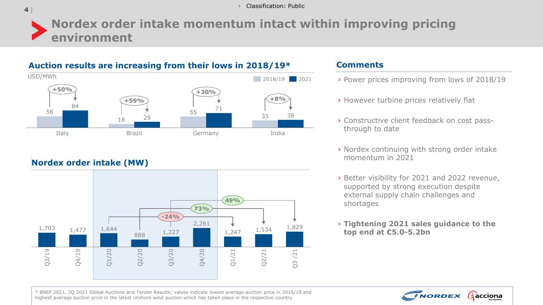#### <sup>|</sup> › Classification: Public

# **Nordex order intake momentum intact within improving pricing environment**

## **Auction results are increasing from their lows in 2018/19\***



## **Nordex order intake (MW)**



#### **Comments**

- › Power prices improving from lows of 2018/19
- › However turbine prices relatively flat
- › Constructive client feedback on cost passthrough to date
- › Nordex continuing with strong order intake momentum in 2021
- › Better visibility for 2021 and 2022 revenue, supported by strong execution despite external supply chain challenges and shortages
- › **Tightening 2021 sales guidance to the**



\* BNEF 2021, 3Q 2021 Global Auctions and Tender Results; values indicate lowest average auction price in 2018/19 and highest average auction price in the latest onshore wind auction which has taken place in the respective country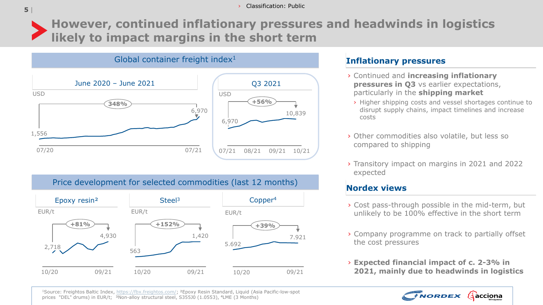

**However, continued inflationary pressures and headwinds in logistics likely to impact margins in the short term**

## Global container freight index<sup>1</sup> 07/21 08/21 09/21 10/21 6,970 10,839 **+56%** June 2020 – June 2021 Q3 2021 USD USD 07/20 07/21 1,556 6,970 **348%**

# Price development for selected commodities (last 12 months)



## **Inflationary pressures**

- › Continued and **increasing inflationary pressures in Q3** vs earlier expectations, particularly in the **shipping market**
- › Higher shipping costs and vessel shortages continue to disrupt supply chains, impact timelines and increase costs
- › Other commodities also volatile, but less so compared to shipping
- › Transitory impact on margins in 2021 and 2022 expected

# **Nordex views**

- › Cost pass-through possible in the mid-term, but unlikely to be 100% effective in the short term
- › Company programme on track to partially offset the cost pressures
- › **Expected financial impact of c. 2-3% in 2021, mainly due to headwinds in logistics**



1Source: Freightos Baltic Index, [https://fbx.freightos.com/;](https://fbx.freightos.com/) ²Epoxy Resin Standard, Liquid (Asia Pacific-low-spot prices "DEL" drums) in EUR/t; <sup>3</sup>Non-alloy structural steel, S355J0 (1.0553), <sup>4</sup>LME (3 Months)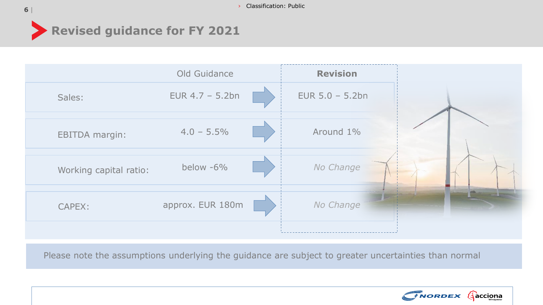

|                        | Old Guidance       | <b>Revision</b>    |  |
|------------------------|--------------------|--------------------|--|
| Sales:                 | EUR $4.7 - 5.2$ bn | EUR $5.0 - 5.2$ bn |  |
| <b>EBITDA margin:</b>  | $4.0 - 5.5\%$      | Around 1%          |  |
| Working capital ratio: | below -6%          | No Change          |  |
| CAPEX:                 | approx. EUR 180m   | No Change          |  |
|                        |                    |                    |  |

Please note the assumptions underlying the guidance are subject to greater uncertainties than normal

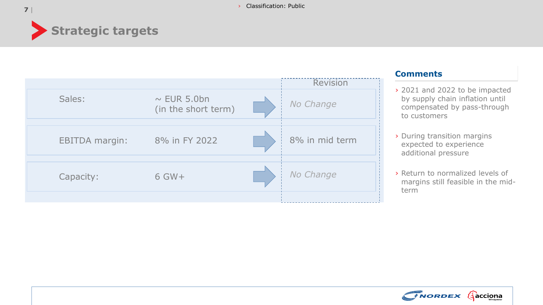

|                       |                                         | <b>Revision</b> |
|-----------------------|-----------------------------------------|-----------------|
| Sales:                | $\sim$ EUR 5.0bn<br>(in the short term) | No Change       |
| <b>EBITDA</b> margin: | 8% in FY 2022                           | 8% in mid term  |
| Capacity:             | $6$ GW+                                 | No Change       |
|                       |                                         |                 |

### **Comments**

- › 2021 and 2022 to be impacted by supply chain inflation until compensated by pass-through to customers
- › During transition margins expected to experience additional pressure
- › Return to normalized levels of margins still feasible in the midterm

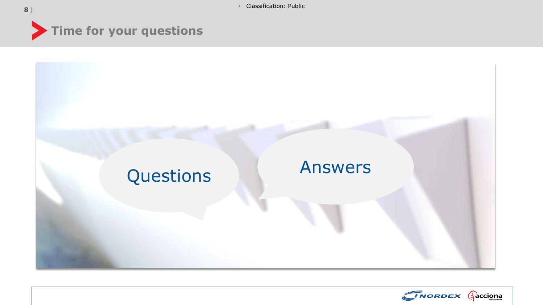<sup>|</sup> › Classification: Public